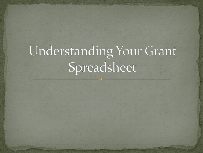# Understanding Your Grant Spreadsheet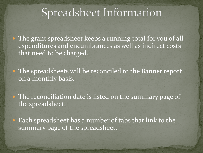## Spreadsheet Information

• The grant spreadsheet keeps a running total for you of all expenditures and encumbrances as well as indirect costs that need to be charged.

• The spreadsheets will be reconciled to the Banner report on a monthly basis.

• The reconciliation date is listed on the summary page of the spreadsheet.

 Each spreadsheet has a number of tabs that link to the summary page of the spreadsheet.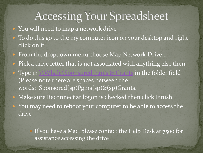### Accessing Your Spreadsheet

- You will need to map a network drive
- To do this go to the my computer icon on your desktop and right click on it
- From the dropdown menu choose Map Network Drive...
- Pick a drive letter that is not associated with anything else then
- Type in  $\mathbb{W}$  hale\Sponsored Pgms & Grants in the folder field (Please note there are spaces between the words: Sponsored(sp)Pgms(sp)&(sp)Grants.
- Make sure Reconnect at logon is checked then click Finish • You may need to reboot your computer to be able to access the drive

 If you have a Mac, please contact the Help Desk at 7500 for assistance accessing the drive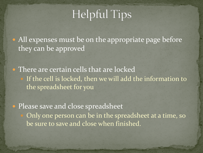## **Helpful Tips**

• All expenses must be on the appropriate page before they can be approved

• There are certain cells that are locked If the cell is locked, then we will add the information to the spreadsheet for you

• Please save and close spreadsheet Only one person can be in the spreadsheet at a time, so be sure to save and close when finished.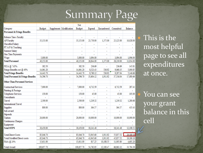## **Summary Page**

|                                              |            |                         | Net            |                |                |           |                |
|----------------------------------------------|------------|-------------------------|----------------|----------------|----------------|-----------|----------------|
| Category                                     | Budget     | Supplement Modification | <b>Budget</b>  | Expend         | Encumbered     | Committed | Balance        |
| <b>Personnel &amp; Fringe Benefits</b>       |            |                         |                |                |                |           |                |
| Release Time -Faculty                        |            |                         |                |                |                |           |                |
| <b>AP Faculty</b>                            | 35,153.00  |                         | 35,153.00      | 23,750.00      | 1,375.00       | 25,125.00 | 10,028.00      |
| Classified Salary                            |            |                         |                |                |                |           |                |
| PT A/P & Teaching                            |            |                         | ÷              | $\blacksquare$ | ÷              | ÷.        | ٠              |
| Summer Salary                                | ٠          |                         | $\overline{a}$ | $\blacksquare$ | ÷.             | ÷.        | ٠              |
| One Time Payments                            |            |                         |                |                | ÷              |           |                |
| Wage                                         | 5.000.00   |                         | 5,000.00       | 3,094.00       |                | 3,094.00  | 1,906.00       |
| <b>Total Personnel</b>                       | 40.153.00  | L                       | 40.153.00      | 26,844.00      | 1,375.00       | 28,219.00 | 11,934.00      |
| FICA @ 7.65%                                 | 382.50     |                         | 382.50         | 236.69         |                | 236.69    | 145.81         |
| Fringe Benefits est @ 40%                    | 14,061.20  |                         | 14,061.20      | 8,523.43       | 536.92         | 9,060.35  | 5,000.85       |
| <b>Total Fringe Benefits</b>                 | 14,443.70  | ä,                      | 14,443.70      | 8,760.12       | 536.92         | 9,297.04  | 5,146.66       |
| <b>Total Personnel &amp; Fringe Benefits</b> | 54,596.70  | ÷                       | 54,596.70      | 35,604.12      | 1,911.92       | 37,516.04 | 17,080.66      |
| <b>Other Than Personnel Services</b>         |            |                         |                |                |                |           |                |
| <b>Contractual Services</b>                  | 7,000.00   |                         | 7,000.00       | 6,712.59       | ÷.             | 6,712.59  | 287.41         |
| Printing & Postage                           |            |                         |                |                | ÷              |           |                |
| <b>Telephone Services</b>                    | 150.00     |                         | 150.00         | 45.00          | ÷.             | 45.00     | 105.00         |
| Consultants                                  |            |                         |                |                | ÷.             |           |                |
| Travel                                       | 2,500.00   |                         | 2,500.00       | 1,219.32       | ٠              | 1,219.32  | 1,280.68       |
| <b>International Travel</b>                  |            |                         |                |                | ÷              |           |                |
| Supplies                                     | 800.00     |                         | 800.00         | 364.57         |                | 364.57    | 435.43         |
| Sub-award                                    |            |                         |                |                | ۰              |           |                |
| Stipends                                     |            |                         |                |                | ÷,             |           |                |
| Tuition                                      | 20,000.00  |                         | 20,000.00      | 10,000.00      | ٠              | 10,000.00 | 10,000.00      |
| <b>Continuous Charges</b>                    |            |                         |                | ÷,             | ÷              | ÷.        |                |
| Equipment                                    |            |                         |                |                | ٠              |           | $\blacksquare$ |
| <b>Total OTPS</b>                            | 30,450.00  | ä,                      | 30,450.00      | 18,341.48      | $\blacksquare$ | 18,341.48 | 12,108.52      |
|                                              |            |                         |                |                |                |           |                |
| <b>Total Direct Costs</b>                    | 85,046.70  | ä,                      | 85,046.70      | 53,945.60      | 1,911.92       | 55,857.52 | 29,189.18      |
| <b>Total Modified Direct costs</b>           | 65,046.70  | ä,                      | 65,046.70      | 43,945.60      | 1,911.92       | 45,857.52 | 19,189.18      |
| F&A @ 24%                                    | 15,611.00  |                         | 15,611.00      | 817.25         | 10,188.55      | 11,005.80 | 4,605.20       |
| Total Award                                  | 100.657.70 | ä,                      | 100.657.70     | 54,762.85      | 12.100.47      | 66.863.32 | 33,794.38      |

 This is the most helpful page to see all expenditures at once.

 You can see your grant balance in this cell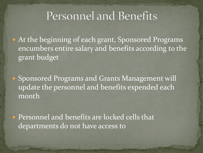#### Personnel and Benefits

 At the beginning of each grant, Sponsored Programs encumbers entire salary and benefits according to the grant budget

**• Sponsored Programs and Grants Management will** update the personnel and benefits expended each month

 Personnel and benefits are locked cells that departments do not have access to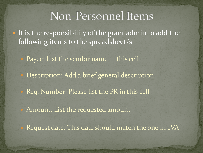#### Non-Personnel Items

• It is the responsibility of the grant admin to add the following items to the spreadsheet/s

Payee: List the vendor name in this cell

Description: Add a brief general description

Req. Number: Please list the PR in this cell

Amount: List the requested amount

Request date: This date should match the one in eVA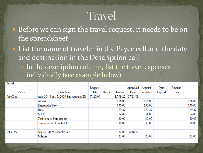## Travel

- Before we can sign the travel request, it needs to be on the spreadsheet
- List the name of traveler in the Payee cell and the date and destination in the Description cell In the description column, list the travel expenses individually (see example below)

| Travel   |                                         |          |                 |        |                   |          |        |        |        |
|----------|-----------------------------------------|----------|-----------------|--------|-------------------|----------|--------|--------|--------|
|          |                                         | Request  |                 |        | Approved          | Amount   | Date   | Amount |        |
| Payee    | Description                             | Date     | $\text{Re}q \#$ | Amount | Date              | Encumb'd | Expend | Expend |        |
| Jane Doe | Aug. 30 - Sept. 5, 2009 San Antonio, TX | 07/20/09 |                 |        | 1,799.22 07/21/09 |          |        |        | ۰      |
|          | Airfaire                                |          |                 | 456.00 |                   | 456.00   |        |        | 456.00 |
|          | Registration Fee                        |          |                 | 150.00 |                   | 150.00   |        |        | 150.00 |
|          | Hotel                                   |          |                 | 779.22 |                   | 779.22   |        |        | 779.22 |
|          | M&IE                                    |          |                 | 354.00 |                   | 354.00   |        |        | 354.00 |
|          | Taxi to hotel from airport              |          |                 | 30.00  |                   | 30.00    |        |        | 30.00  |
|          | Taxi to airport from hotel              |          |                 | 30.00  |                   | 30.00    |        |        | 30.00  |
| John Doe | July 22, 2009 Roanoke, VA               |          |                 |        | 22.00 06/16/09    |          |        |        |        |
|          | Mileage                                 |          |                 | 22.00  |                   | 22.00    |        |        | 22.00  |
|          |                                         |          |                 |        |                   |          |        |        |        |